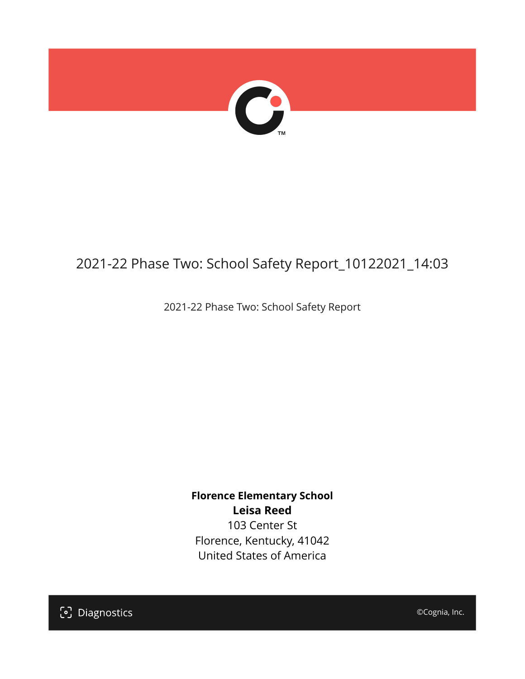

## 2021-22 Phase Two: School Safety Report\_10122021\_14:03

2021-22 Phase Two: School Safety Report

**Florence Elementary School Leisa Reed** 103 Center St Florence, Kentucky, 41042 United States of America

[၁] Diagnostics

©Cognia, Inc.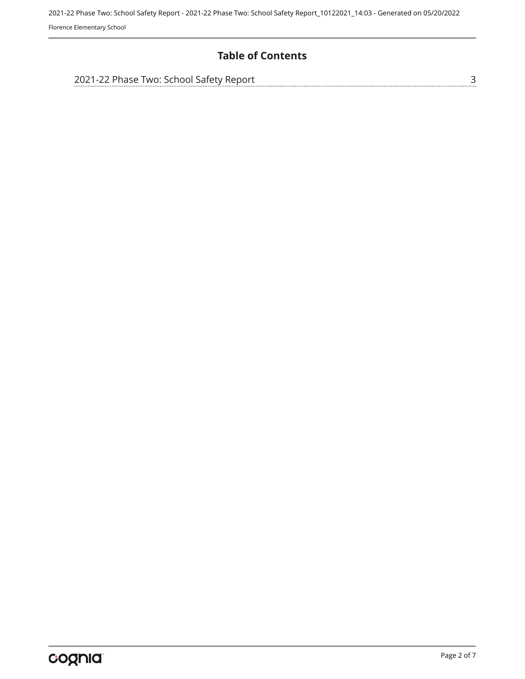2021-22 Phase Two: School Safety Report - 2021-22 Phase Two: School Safety Report\_10122021\_14:03 - Generated on 05/20/2022 Florence Elementary School

#### **Table of Contents**

| 2021-22 Phase Two: School Safety Report |  |
|-----------------------------------------|--|
|                                         |  |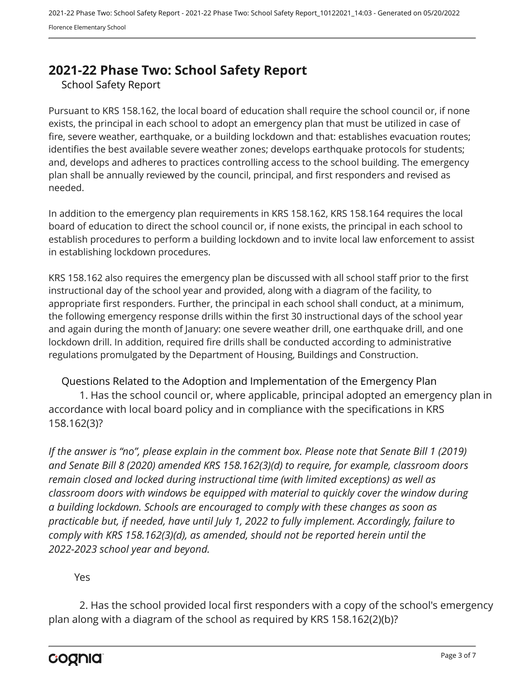### <span id="page-2-0"></span>**2021-22 Phase Two: School Safety Report**

School Safety Report

Pursuant to KRS 158.162, the local board of education shall require the school council or, if none exists, the principal in each school to adopt an emergency plan that must be utilized in case of fire, severe weather, earthquake, or a building lockdown and that: establishes evacuation routes; identifies the best available severe weather zones; develops earthquake protocols for students; and, develops and adheres to practices controlling access to the school building. The emergency plan shall be annually reviewed by the council, principal, and first responders and revised as needed.

In addition to the emergency plan requirements in KRS 158.162, KRS 158.164 requires the local board of education to direct the school council or, if none exists, the principal in each school to establish procedures to perform a building lockdown and to invite local law enforcement to assist in establishing lockdown procedures.

KRS 158.162 also requires the emergency plan be discussed with all school staff prior to the first instructional day of the school year and provided, along with a diagram of the facility, to appropriate first responders. Further, the principal in each school shall conduct, at a minimum, the following emergency response drills within the first 30 instructional days of the school year and again during the month of January: one severe weather drill, one earthquake drill, and one lockdown drill. In addition, required fire drills shall be conducted according to administrative regulations promulgated by the Department of Housing, Buildings and Construction.

Questions Related to the Adoption and Implementation of the Emergency Plan 1. Has the school council or, where applicable, principal adopted an emergency plan in accordance with local board policy and in compliance with the specifications in KRS 158.162(3)?

*If the answer is "no", please explain in the comment box. Please note that Senate Bill 1 (2019) and Senate Bill 8 (2020) amended KRS 158.162(3)(d) to require, for example, classroom doors remain closed and locked during instructional time (with limited exceptions) as well as classroom doors with windows be equipped with material to quickly cover the window during a building lockdown. Schools are encouraged to comply with these changes as soon as practicable but, if needed, have until July 1, 2022 to fully implement. Accordingly, failure to comply with KRS 158.162(3)(d), as amended, should not be reported herein until the 2022-2023 school year and beyond.*

#### Yes

2. Has the school provided local first responders with a copy of the school's emergency plan along with a diagram of the school as required by KRS 158.162(2)(b)?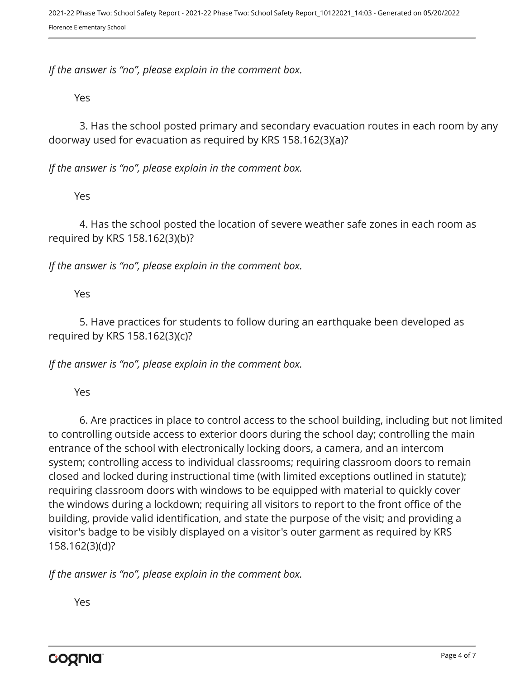*If the answer is "no", please explain in the comment box.*

Yes

3. Has the school posted primary and secondary evacuation routes in each room by any doorway used for evacuation as required by KRS 158.162(3)(a)?

*If the answer is "no", please explain in the comment box.*

Yes

4. Has the school posted the location of severe weather safe zones in each room as required by KRS 158.162(3)(b)?

*If the answer is "no", please explain in the comment box.*

Yes

5. Have practices for students to follow during an earthquake been developed as required by KRS 158.162(3)(c)?

*If the answer is "no", please explain in the comment box.*

Yes

6. Are practices in place to control access to the school building, including but not limited to controlling outside access to exterior doors during the school day; controlling the main entrance of the school with electronically locking doors, a camera, and an intercom system; controlling access to individual classrooms; requiring classroom doors to remain closed and locked during instructional time (with limited exceptions outlined in statute); requiring classroom doors with windows to be equipped with material to quickly cover the windows during a lockdown; requiring all visitors to report to the front office of the building, provide valid identification, and state the purpose of the visit; and providing a visitor's badge to be visibly displayed on a visitor's outer garment as required by KRS 158.162(3)(d)?

*If the answer is "no", please explain in the comment box.*

Yes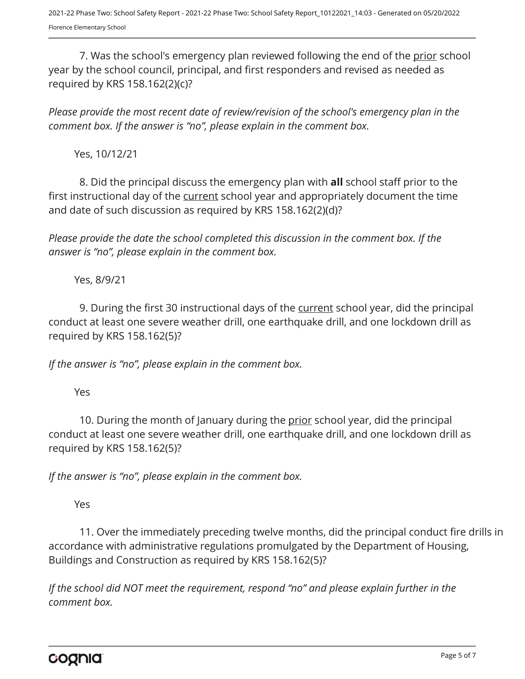7. Was the school's emergency plan reviewed following the end of the prior school year by the school council, principal, and first responders and revised as needed as required by KRS 158.162(2)(c)?

*Please provide the most recent date of review/revision of the school's emergency plan in the comment box. If the answer is "no", please explain in the comment box.* 

Yes, 10/12/21

8. Did the principal discuss the emergency plan with **all** school staff prior to the first instructional day of the current school year and appropriately document the time and date of such discussion as required by KRS 158.162(2)(d)?

*Please provide the date the school completed this discussion in the comment box. If the answer is "no", please explain in the comment box.*

Yes, 8/9/21

9. During the first 30 instructional days of the current school year, did the principal conduct at least one severe weather drill, one earthquake drill, and one lockdown drill as required by KRS 158.162(5)?

*If the answer is "no", please explain in the comment box.*

Yes

10. During the month of January during the prior school year, did the principal conduct at least one severe weather drill, one earthquake drill, and one lockdown drill as required by KRS 158.162(5)?

*If the answer is "no", please explain in the comment box.*

Yes

11. Over the immediately preceding twelve months, did the principal conduct fire drills in accordance with administrative regulations promulgated by the Department of Housing, Buildings and Construction as required by KRS 158.162(5)?

*If the school did NOT meet the requirement, respond "no" and please explain further in the comment box.* 

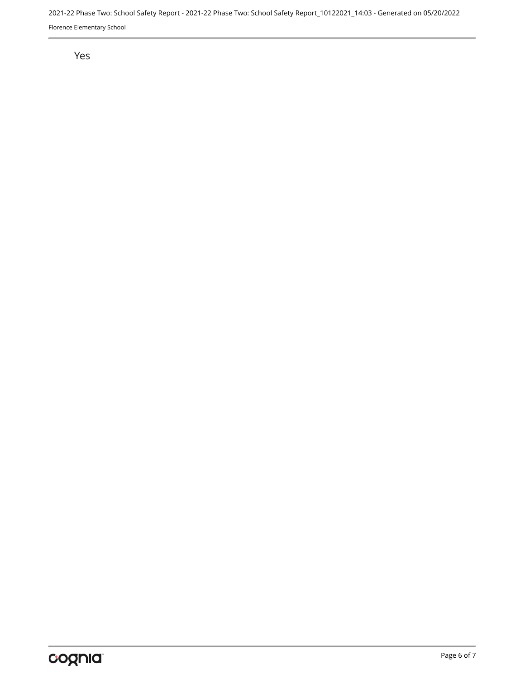2021-22 Phase Two: School Safety Report - 2021-22 Phase Two: School Safety Report\_10122021\_14:03 - Generated on 05/20/2022 Florence Elementary School

#### Yes